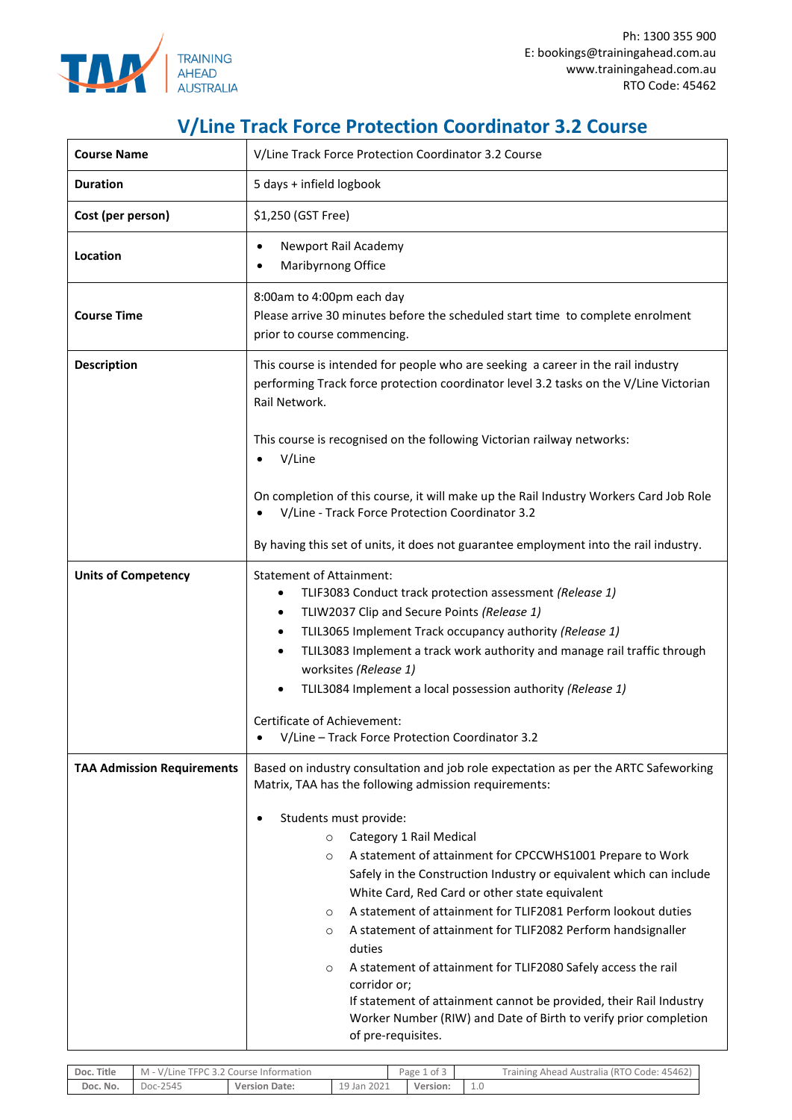

## **V/Line Track Force Protection Coordinator 3.2 Course**

| <b>Course Name</b>                | V/Line Track Force Protection Coordinator 3.2 Course                                                                                                                                                                                                                                                                                                                                                                                                                                                                                                                                                                                                                                                                                                                                                                                       |  |  |  |  |  |
|-----------------------------------|--------------------------------------------------------------------------------------------------------------------------------------------------------------------------------------------------------------------------------------------------------------------------------------------------------------------------------------------------------------------------------------------------------------------------------------------------------------------------------------------------------------------------------------------------------------------------------------------------------------------------------------------------------------------------------------------------------------------------------------------------------------------------------------------------------------------------------------------|--|--|--|--|--|
| <b>Duration</b>                   | 5 days + infield logbook                                                                                                                                                                                                                                                                                                                                                                                                                                                                                                                                                                                                                                                                                                                                                                                                                   |  |  |  |  |  |
| Cost (per person)                 | \$1,250 (GST Free)                                                                                                                                                                                                                                                                                                                                                                                                                                                                                                                                                                                                                                                                                                                                                                                                                         |  |  |  |  |  |
| Location                          | Newport Rail Academy<br>Maribyrnong Office                                                                                                                                                                                                                                                                                                                                                                                                                                                                                                                                                                                                                                                                                                                                                                                                 |  |  |  |  |  |
| <b>Course Time</b>                | 8:00am to 4:00pm each day<br>Please arrive 30 minutes before the scheduled start time to complete enrolment<br>prior to course commencing.                                                                                                                                                                                                                                                                                                                                                                                                                                                                                                                                                                                                                                                                                                 |  |  |  |  |  |
| <b>Description</b>                | This course is intended for people who are seeking a career in the rail industry<br>performing Track force protection coordinator level 3.2 tasks on the V/Line Victorian<br>Rail Network.                                                                                                                                                                                                                                                                                                                                                                                                                                                                                                                                                                                                                                                 |  |  |  |  |  |
|                                   | This course is recognised on the following Victorian railway networks:<br>V/Line                                                                                                                                                                                                                                                                                                                                                                                                                                                                                                                                                                                                                                                                                                                                                           |  |  |  |  |  |
|                                   | On completion of this course, it will make up the Rail Industry Workers Card Job Role<br>V/Line - Track Force Protection Coordinator 3.2                                                                                                                                                                                                                                                                                                                                                                                                                                                                                                                                                                                                                                                                                                   |  |  |  |  |  |
|                                   | By having this set of units, it does not guarantee employment into the rail industry.                                                                                                                                                                                                                                                                                                                                                                                                                                                                                                                                                                                                                                                                                                                                                      |  |  |  |  |  |
| <b>Units of Competency</b>        | <b>Statement of Attainment:</b><br>TLIF3083 Conduct track protection assessment (Release 1)<br>٠<br>TLIW2037 Clip and Secure Points (Release 1)<br>$\bullet$<br>TLIL3065 Implement Track occupancy authority (Release 1)<br>$\bullet$<br>TLIL3083 Implement a track work authority and manage rail traffic through<br>٠<br>worksites (Release 1)<br>TLIL3084 Implement a local possession authority (Release 1)<br>Certificate of Achievement:<br>V/Line - Track Force Protection Coordinator 3.2                                                                                                                                                                                                                                                                                                                                          |  |  |  |  |  |
| <b>TAA Admission Requirements</b> | Based on industry consultation and job role expectation as per the ARTC Safeworking<br>Matrix, TAA has the following admission requirements:<br>Students must provide:<br>Category 1 Rail Medical<br>$\circ$<br>A statement of attainment for CPCCWHS1001 Prepare to Work<br>$\circ$<br>Safely in the Construction Industry or equivalent which can include<br>White Card, Red Card or other state equivalent<br>A statement of attainment for TLIF2081 Perform lookout duties<br>$\circ$<br>A statement of attainment for TLIF2082 Perform handsignaller<br>$\circ$<br>duties<br>A statement of attainment for TLIF2080 Safely access the rail<br>$\circ$<br>corridor or;<br>If statement of attainment cannot be provided, their Rail Industry<br>Worker Number (RIW) and Date of Birth to verify prior completion<br>of pre-requisites. |  |  |  |  |  |

| Doc. Title | M - V/Line TFPC 3.2 Course Information |                      |             | of 3<br>Page 1 |          | Training Ahead Australia (RTO Code: 45462) |  |
|------------|----------------------------------------|----------------------|-------------|----------------|----------|--------------------------------------------|--|
| Doc. No.   | Doc-2545                               | <b>Version Date:</b> | 19 Jan 2021 |                | Version: |                                            |  |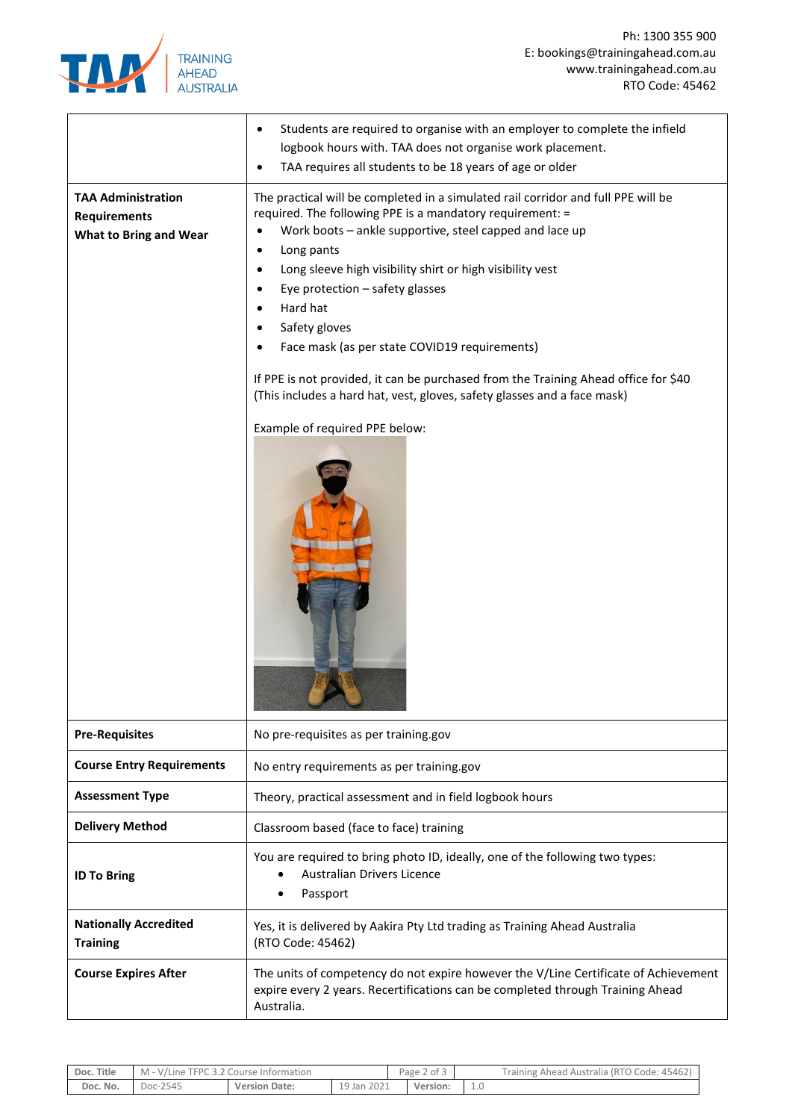

|                                                                                   | Students are required to organise with an employer to complete the infield<br>٠<br>logbook hours with. TAA does not organise work placement.                                                                                                                                                                                                                                                                                                                                                                                                                                                               |  |  |  |  |  |
|-----------------------------------------------------------------------------------|------------------------------------------------------------------------------------------------------------------------------------------------------------------------------------------------------------------------------------------------------------------------------------------------------------------------------------------------------------------------------------------------------------------------------------------------------------------------------------------------------------------------------------------------------------------------------------------------------------|--|--|--|--|--|
|                                                                                   | TAA requires all students to be 18 years of age or older                                                                                                                                                                                                                                                                                                                                                                                                                                                                                                                                                   |  |  |  |  |  |
| <b>TAA Administration</b><br><b>Requirements</b><br><b>What to Bring and Wear</b> | The practical will be completed in a simulated rail corridor and full PPE will be<br>required. The following PPE is a mandatory requirement: =<br>Work boots - ankle supportive, steel capped and lace up<br>Long pants<br>Long sleeve high visibility shirt or high visibility vest<br>Eye protection - safety glasses<br>Hard hat<br>Safety gloves<br>Face mask (as per state COVID19 requirements)<br>If PPE is not provided, it can be purchased from the Training Ahead office for \$40<br>(This includes a hard hat, vest, gloves, safety glasses and a face mask)<br>Example of required PPE below: |  |  |  |  |  |
| <b>Pre-Requisites</b>                                                             | No pre-requisites as per training.gov                                                                                                                                                                                                                                                                                                                                                                                                                                                                                                                                                                      |  |  |  |  |  |
| <b>Course Entry Requirements</b>                                                  | No entry requirements as per training.gov                                                                                                                                                                                                                                                                                                                                                                                                                                                                                                                                                                  |  |  |  |  |  |
| <b>Assessment Type</b>                                                            | Theory, practical assessment and in field logbook hours                                                                                                                                                                                                                                                                                                                                                                                                                                                                                                                                                    |  |  |  |  |  |
| <b>Delivery Method</b>                                                            | Classroom based (face to face) training                                                                                                                                                                                                                                                                                                                                                                                                                                                                                                                                                                    |  |  |  |  |  |
| <b>ID To Bring</b>                                                                | You are required to bring photo ID, ideally, one of the following two types:<br>Australian Drivers Licence<br>Passport                                                                                                                                                                                                                                                                                                                                                                                                                                                                                     |  |  |  |  |  |
| <b>Nationally Accredited</b><br><b>Training</b>                                   | Yes, it is delivered by Aakira Pty Ltd trading as Training Ahead Australia<br>(RTO Code: 45462)                                                                                                                                                                                                                                                                                                                                                                                                                                                                                                            |  |  |  |  |  |
| <b>Course Expires After</b>                                                       | The units of competency do not expire however the V/Line Certificate of Achievement<br>expire every 2 years. Recertifications can be completed through Training Ahead<br>Australia.                                                                                                                                                                                                                                                                                                                                                                                                                        |  |  |  |  |  |

| Doc. Title | M - V/Line TFPC 3.2 Course Information |                      |             | Page 2 of 3 |          | Training Ahead Australia (RTO Code: 45462) |  |
|------------|----------------------------------------|----------------------|-------------|-------------|----------|--------------------------------------------|--|
| Doc. No.   | Doc-2545                               | <b>Version Date:</b> | 19 Jan 2021 |             | Version: |                                            |  |